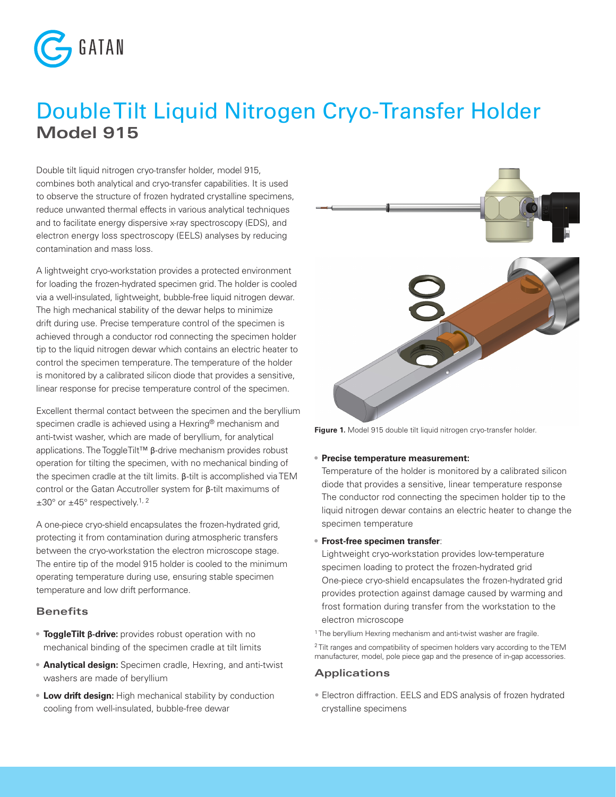

# Double Tilt Liquid Nitrogen Cryo-Transfer Holder **Model 915**

Double tilt liquid nitrogen cryo-transfer holder, model 915, combines both analytical and cryo-transfer capabilities. It is used to observe the structure of frozen hydrated crystalline specimens, reduce unwanted thermal effects in various analytical techniques and to facilitate energy dispersive x-ray spectroscopy (EDS), and electron energy loss spectroscopy (EELS) analyses by reducing contamination and mass loss.

A lightweight cryo-workstation provides a protected environment for loading the frozen-hydrated specimen grid. The holder is cooled via a well-insulated, lightweight, bubble-free liquid nitrogen dewar. The high mechanical stability of the dewar helps to minimize drift during use. Precise temperature control of the specimen is achieved through a conductor rod connecting the specimen holder tip to the liquid nitrogen dewar which contains an electric heater to control the specimen temperature. The temperature of the holder is monitored by a calibrated silicon diode that provides a sensitive, linear response for precise temperature control of the specimen.

Excellent thermal contact between the specimen and the beryllium specimen cradle is achieved using a Hexring® mechanism and anti-twist washer, which are made of beryllium, for analytical applications. The ToggleTilt™ β-drive mechanism provides robust operation for tilting the specimen, with no mechanical binding of the specimen cradle at the tilt limits. β-tilt is accomplished via TEM control or the Gatan Accutroller system for β-tilt maximums of  $\pm 30^{\circ}$  or  $\pm 45^{\circ}$  respectively.<sup>1, 2</sup>

A one-piece cryo-shield encapsulates the frozen-hydrated grid, protecting it from contamination during atmospheric transfers between the cryo-workstation the electron microscope stage. The entire tip of the model 915 holder is cooled to the minimum operating temperature during use, ensuring stable specimen temperature and low drift performance.

### **Benefits**

- **• ToggleTilt β-drive:** provides robust operation with no mechanical binding of the specimen cradle at tilt limits
- **• Analytical design:** Specimen cradle, Hexring, and anti-twist washers are made of beryllium
- **• Low drift design:** High mechanical stability by conduction cooling from well-insulated, bubble-free dewar



**Figure 1.** Model 915 double tilt liquid nitrogen cryo-transfer holder.

#### **• Precise temperature measurement:**

Temperature of the holder is monitored by a calibrated silicon diode that provides a sensitive, linear temperature response The conductor rod connecting the specimen holder tip to the liquid nitrogen dewar contains an electric heater to change the specimen temperature

#### **• Frost-free specimen transfer**:

Lightweight cryo-workstation provides low-temperature specimen loading to protect the frozen-hydrated grid One-piece cryo-shield encapsulates the frozen-hydrated grid provides protection against damage caused by warming and frost formation during transfer from the workstation to the electron microscope

<sup>1</sup> The beryllium Hexring mechanism and anti-twist washer are fragile.

<sup>2</sup> Tilt ranges and compatibility of specimen holders vary according to the TEM manufacturer, model, pole piece gap and the presence of in-gap accessories.

#### **Applications**

• Electron diffraction. EELS and EDS analysis of frozen hydrated crystalline specimens